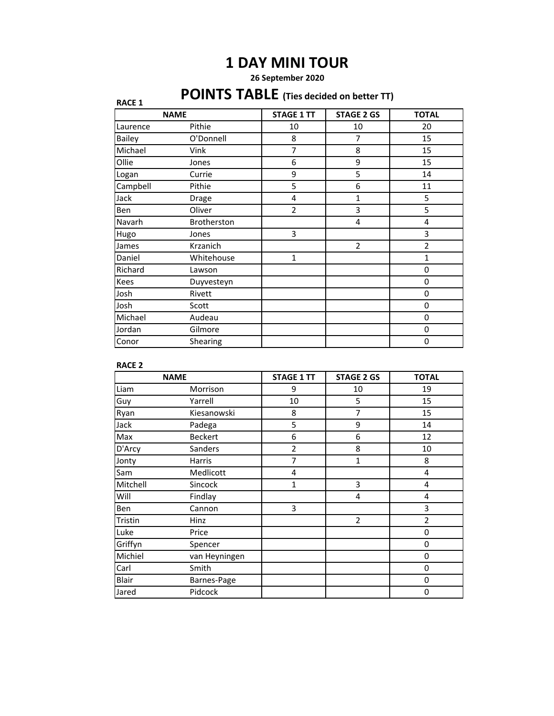# **1 DAY MINI TOUR**

## **26 September 2020**

# **POINTS TABLE (Ties decided on better TT)**

| <b>PUINIS IABLE</b> (Ties decided on better TT)<br><b>RACE 1</b> |             |                   |                   |                |
|------------------------------------------------------------------|-------------|-------------------|-------------------|----------------|
| <b>NAME</b>                                                      |             | <b>STAGE 1 TT</b> | <b>STAGE 2 GS</b> | <b>TOTAL</b>   |
| Laurence                                                         | Pithie      | 10                | 10                | 20             |
| <b>Bailey</b>                                                    | O'Donnell   | 8                 | 7                 | 15             |
| Michael                                                          | Vink        | 7                 | 8                 | 15             |
| Ollie                                                            | Jones       | 6                 | 9                 | 15             |
| Logan                                                            | Currie      | 9                 | 5                 | 14             |
| Campbell                                                         | Pithie      | 5                 | 6                 | 11             |
| Jack                                                             | Drage       | 4                 | $\mathbf{1}$      | 5              |
| Ben                                                              | Oliver      | $\overline{2}$    | 3                 | 5              |
| Navarh                                                           | Brotherston |                   | 4                 | 4              |
| Hugo                                                             | Jones       | 3                 |                   | 3              |
| James                                                            | Krzanich    |                   | $\overline{2}$    | $\overline{2}$ |
| Daniel                                                           | Whitehouse  | 1                 |                   | $\mathbf{1}$   |
| Richard                                                          | Lawson      |                   |                   | 0              |
| Kees                                                             | Duyvesteyn  |                   |                   | 0              |
| Josh                                                             | Rivett      |                   |                   | 0              |
| Josh                                                             | Scott       |                   |                   | 0              |
| Michael                                                          | Audeau      |                   |                   | 0              |
| Jordan                                                           | Gilmore     |                   |                   | 0              |
| Conor                                                            | Shearing    |                   |                   | 0              |

#### **RACE 2**

| <b>NAME</b> |                | <b>STAGE 1 TT</b> | <b>STAGE 2 GS</b> | <b>TOTAL</b>   |
|-------------|----------------|-------------------|-------------------|----------------|
| Liam        | Morrison       | 9                 | 10                | 19             |
| Guy         | Yarrell        | 10                | 5                 | 15             |
| Ryan        | Kiesanowski    | 8                 | 7                 | 15             |
| Jack        | Padega         | 5                 | 9                 | 14             |
| Max         | <b>Beckert</b> | 6                 | 6                 | 12             |
| D'Arcy      | Sanders        | $\overline{2}$    | 8                 | 10             |
| Jonty       | <b>Harris</b>  | $\overline{7}$    | 1                 | 8              |
| Sam         | Medlicott      | 4                 |                   | $\overline{4}$ |
| Mitchell    | Sincock        | 1                 | 3                 | $\overline{4}$ |
| Will        | Findlay        |                   | 4                 | 4              |
| Ben         | Cannon         | 3                 |                   | 3              |
| Tristin     | Hinz           |                   | $\overline{2}$    | $\overline{2}$ |
| Luke        | Price          |                   |                   | $\mathbf 0$    |
| Griffyn     | Spencer        |                   |                   | 0              |
| Michiel     | van Heyningen  |                   |                   | 0              |
| Carl        | Smith          |                   |                   | 0              |
| Blair       | Barnes-Page    |                   |                   | 0              |
| Jared       | Pidcock        |                   |                   | 0              |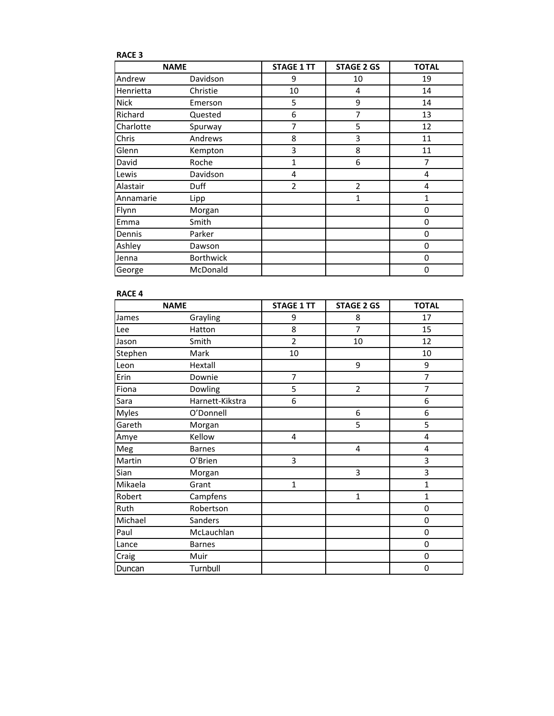| <b>RACE 3</b> |                  |                   |                   |              |
|---------------|------------------|-------------------|-------------------|--------------|
| <b>NAME</b>   |                  | <b>STAGE 1 TT</b> | <b>STAGE 2 GS</b> | <b>TOTAL</b> |
| Andrew        | Davidson         | 9                 | 10                | 19           |
| Henrietta     | Christie         | 10                | 4                 | 14           |
| <b>Nick</b>   | Emerson          | 5                 | 9                 | 14           |
| Richard       | Quested          | 6                 | 7                 | 13           |
| Charlotte     | Spurway          | 7                 | 5                 | 12           |
| Chris         | Andrews          | 8                 | 3                 | 11           |
| Glenn         | Kempton          | 3                 | 8                 | 11           |
| David         | Roche            | $\mathbf{1}$      | 6                 | 7            |
| Lewis         | Davidson         | 4                 |                   | 4            |
| Alastair      | Duff             | $\overline{2}$    | $\overline{2}$    | 4            |
| Annamarie     | Lipp             |                   | 1                 | $\mathbf{1}$ |
| Flynn         | Morgan           |                   |                   | 0            |
| Emma          | Smith            |                   |                   | 0            |
| Dennis        | Parker           |                   |                   | $\mathbf 0$  |
| Ashley        | Dawson           |                   |                   | 0            |
| Jenna         | <b>Borthwick</b> |                   |                   | $\mathbf 0$  |
| George        | McDonald         |                   |                   | 0            |

### **RACE 4**

| <b>NAME</b>  |                 | <b>STAGE 1 TT</b> | <b>STAGE 2 GS</b> | <b>TOTAL</b>   |
|--------------|-----------------|-------------------|-------------------|----------------|
| James        | Grayling        | 9                 | 8                 | 17             |
| Lee          | Hatton          | 8                 | 7                 | 15             |
| Jason        | Smith           | $\overline{2}$    | 10                | 12             |
| Stephen      | Mark            | 10                |                   | 10             |
| Leon         | Hextall         |                   | 9                 | 9              |
| Erin         | Downie          | $\overline{7}$    |                   | $\overline{7}$ |
| Fiona        | Dowling         | 5                 | $\overline{2}$    | $\overline{7}$ |
| Sara         | Harnett-Kikstra | 6                 |                   | 6              |
| <b>Myles</b> | O'Donnell       |                   | 6                 | 6              |
| Gareth       | Morgan          |                   | 5                 | 5              |
| Amye         | Kellow          | 4                 |                   | 4              |
| Meg          | <b>Barnes</b>   |                   | 4                 | 4              |
| Martin       | O'Brien         | 3                 |                   | 3              |
| Sian         | Morgan          |                   | 3                 | 3              |
| Mikaela      | Grant           | $\mathbf{1}$      |                   | $\mathbf{1}$   |
| Robert       | Campfens        |                   | $\mathbf{1}$      | $\mathbf{1}$   |
| Ruth         | Robertson       |                   |                   | 0              |
| Michael      | Sanders         |                   |                   | 0              |
| Paul         | McLauchlan      |                   |                   | 0              |
| Lance        | <b>Barnes</b>   |                   |                   | 0              |
| Craig        | Muir            |                   |                   | 0              |
| Duncan       | Turnbull        |                   |                   | 0              |